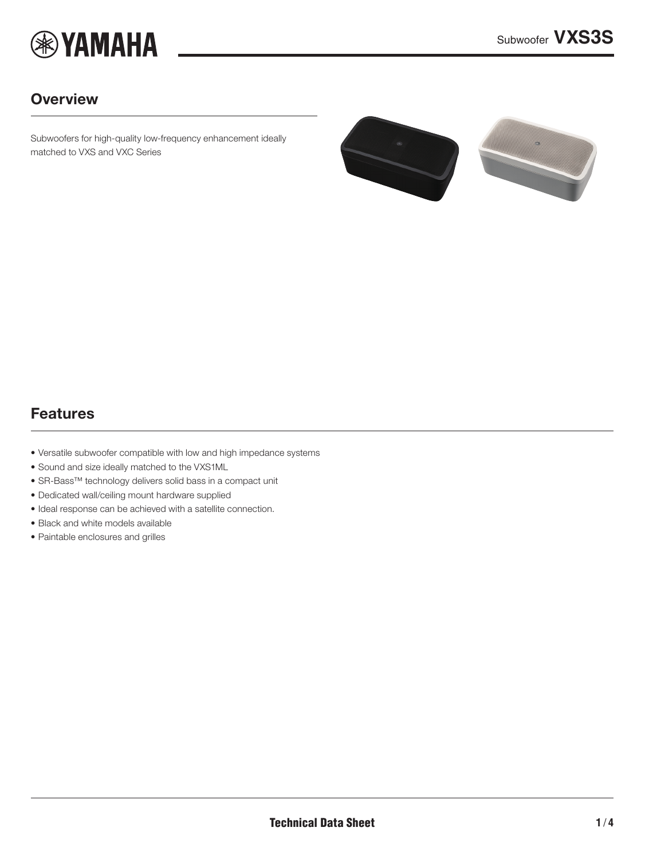

## **Overview**

Subwoofers for high-quality low-frequency enhancement ideally matched to VXS and VXC Series

<span id="page-0-0"></span>

### Features

- Versatile subwoofer compatible with low and high impedance systems
- Sound and size ideally matched to the VXS1ML
- SR-Bass™ technology delivers solid bass in a compact unit
- Dedicated wall/ceiling mount hardware supplied
- Ideal response can be achieved with a satellite connection.
- Black and white models available
- Paintable enclosures and grilles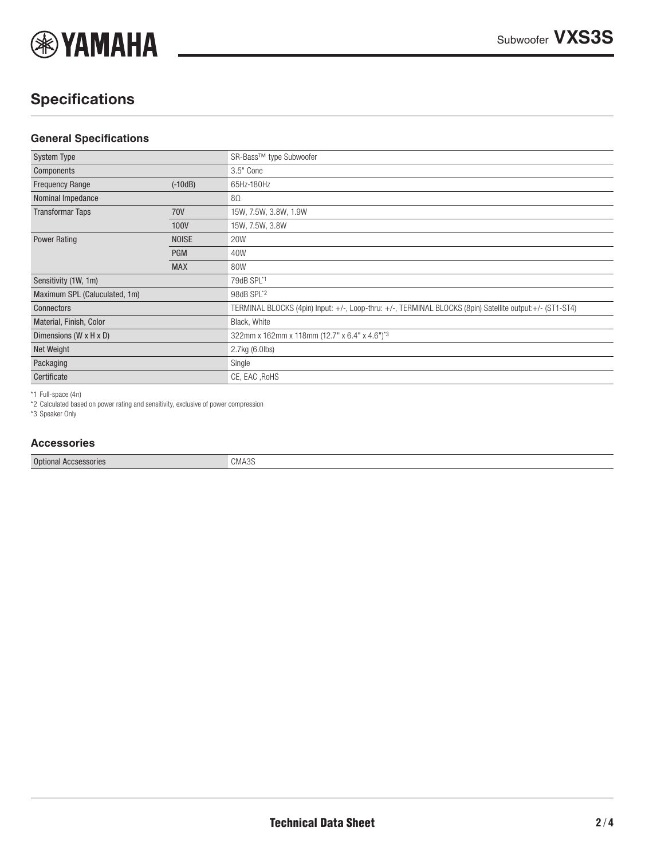

# **Specifications**

### **General Specifications**

| <b>System Type</b>            |              | SR-Bass™ type Subwoofer                                                                                  |
|-------------------------------|--------------|----------------------------------------------------------------------------------------------------------|
| Components                    |              | 3.5" Cone                                                                                                |
| <b>Frequency Range</b>        | $(-10dB)$    | 65Hz-180Hz                                                                                               |
| Nominal Impedance             |              | $8\Omega$                                                                                                |
| <b>Transformar Taps</b>       | <b>70V</b>   | 15W, 7.5W, 3.8W, 1.9W                                                                                    |
|                               | 100V         | 15W, 7.5W, 3.8W                                                                                          |
| <b>Power Rating</b>           | <b>NOISE</b> | <b>20W</b>                                                                                               |
|                               | <b>PGM</b>   | 40W                                                                                                      |
|                               | <b>MAX</b>   | 80W                                                                                                      |
| Sensitivity (1W, 1m)          |              | 79dB SPL*1                                                                                               |
| Maximum SPL (Caluculated, 1m) |              | 98dB SPL*2                                                                                               |
| Connectors                    |              | TERMINAL BLOCKS (4pin) Input: +/-, Loop-thru: +/-, TERMINAL BLOCKS (8pin) Satellite output:+/- (ST1-ST4) |
| Material, Finish, Color       |              | Black, White                                                                                             |
| Dimensions (W x H x D)        |              | 322mm x 162mm x 118mm (12.7" x 6.4" x 4.6")*3                                                            |
| Net Weight                    |              | 2.7kg (6.0lbs)                                                                                           |
| Packaging                     |              | Single                                                                                                   |
| Certificate                   |              | CE, EAC, RoHS                                                                                            |

\*1 Full-space (4π)

\*2 Calculated based on power rating and sensitivity, exclusive of power compression

\*3 Speaker Only

#### **Accessories**

Optional Accsessories CMA3S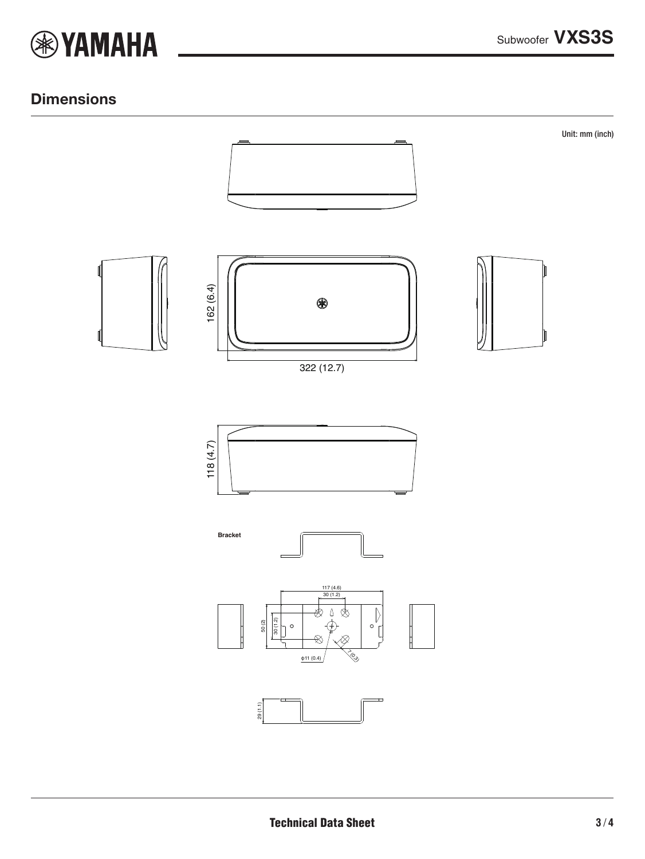

### **Dimensions**